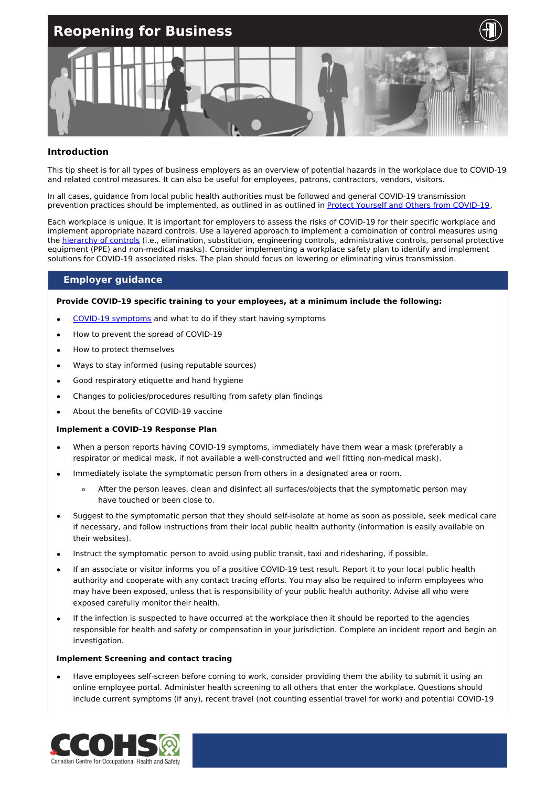

#### **Introduction**

This tip sheet is for all types of business employers as an overview of potential hazards in the workplace due to COVID-19 and related control measures. It can also be useful for employees, patrons, contractors, vendors, visitors.

In all cases, guidance from local public health authorities must be followed and general COVID-19 transmission prevention practices should be implemented, as outlined in as outlined in Protect Yourself and Others from [COVID-19](https://www.ccohs.ca/covid19/protect-yourself/).

Each workplace is unique. It is important for employers to assess the risks of COVID-19 for their specific workplace and implement appropriate hazard controls. Use a layered approach to implement a combination of control measures using the [hierarchy](https://www.ccohs.ca/images/products/infographics/download/hierarchy-covid.png) of controls (i.e., elimination, substitution, engineering controls, administrative controls, personal protective equipment (PPE) and non-medical masks). Consider implementing a workplace safety plan to identify and implement solutions for COVID-19 associated risks. The plan should focus on lowering or eliminating virus transmission.

### **Employer guidance**

**Provide COVID-19 specific training to your employees, at a minimum include the following:**

- COVID-19 [symptoms](https://www.canada.ca/en/public-health/services/diseases/2019-novel-coronavirus-infection/symptoms.html#s) and what to do if they start having symptoms
- How to prevent the spread of COVID-19
- How to protect themselves
- Ways to stay informed (using reputable sources)
- Good respiratory etiquette and hand hygiene
- Changes to policies/procedures resulting from safety plan findings
- About the benefits of COVID-19 vaccine

#### **Implement a COVID-19 Response Plan**

- When a person reports having COVID-19 symptoms, immediately have them wear a mask (preferably a  $\bullet$ respirator or medical mask, if not available a well-constructed and well fitting non-medical mask).
- Immediately isolate the symptomatic person from others in a designated area or room.
	- After the person leaves, clean and disinfect all surfaces/objects that the symptomatic person may  $\Delta$ have touched or been close to.
- Suggest to the symptomatic person that they should self-isolate at home as soon as possible, seek medical care if necessary, and follow instructions from their local public health authority (information is easily available on their websites).
- Instruct the symptomatic person to avoid using public transit, taxi and ridesharing, if possible.
- If an associate or visitor informs you of a positive COVID-19 test result. Report it to your local public health authority and cooperate with any contact tracing efforts. You may also be required to inform employees who may have been exposed, unless that is responsibility of your public health authority. Advise all who were exposed carefully monitor their health.
- If the infection is suspected to have occurred at the workplace then it should be reported to the agencies responsible for health and safety or compensation in your jurisdiction. Complete an incident report and begin an investigation.

#### **Implement Screening and contact tracing**

Have employees self-screen before coming to work, consider providing them the ability to submit it using an online employee portal. Administer health screening to all others that enter the workplace. Questions should include current symptoms (if any), recent travel (not counting essential travel for work) and potential COVID-19

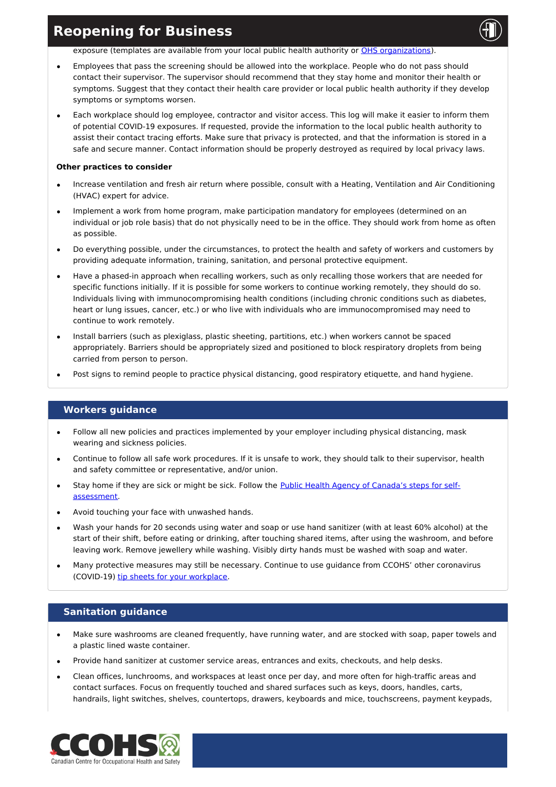exposure (templates are available from your local public health authority or OHS [organizations](https://www.ccohs.ca/images/products/pandemiccovid19/pdf/covid-screen-tool.pdf)).

- Employees that pass the screening should be allowed into the workplace. People who do not pass should contact their supervisor. The supervisor should recommend that they stay home and monitor their health or symptoms. Suggest that they contact their health care provider or local public health authority if they develop symptoms or symptoms worsen.
- Each workplace should log employee, contractor and visitor access. This log will make it easier to inform them of potential COVID-19 exposures. If requested, provide the information to the local public health authority to assist their contact tracing efforts. Make sure that privacy is protected, and that the information is stored in a safe and secure manner. Contact information should be properly destroyed as required by local privacy laws.

#### **Other practices to consider**

- Increase ventilation and fresh air return where possible, consult with a Heating, Ventilation and Air Conditioning (HVAC) expert for advice.
- Implement a work from home program, make participation mandatory for employees (determined on an individual or job role basis) that do not physically need to be in the office. They should work from home as often as possible.
- Do everything possible, under the circumstances, to protect the health and safety of workers and customers by providing adequate information, training, sanitation, and personal protective equipment.
- Have a phased-in approach when recalling workers, such as only recalling those workers that are needed for specific functions initially. If it is possible for some workers to continue working remotely, they should do so. Individuals living with immunocompromising health conditions (including chronic conditions such as diabetes, heart or lung issues, cancer, etc.) or who live with individuals who are immunocompromised may need to continue to work remotely.
- Install barriers (such as plexiglass, plastic sheeting, partitions, etc.) when workers cannot be spaced appropriately. Barriers should be appropriately sized and positioned to block respiratory droplets from being carried from person to person.
- Post signs to remind people to practice physical distancing, good respiratory etiquette, and hand hygiene.

### **Workers guidance**

- Follow all new policies and practices implemented by your employer including physical distancing, mask wearing and sickness policies.
- Continue to follow all safe work procedures. If it is unsafe to work, they should talk to their supervisor, health and safety committee or representative, and/or union.
- Stay home if they are sick or might be sick. Follow the Public Health Agency of Canada's steps for self[assessment.](https://ca.thrive.health/covid19/)
- Avoid touching your face with unwashed hands.
- Wash your hands for 20 seconds using water and soap or use hand sanitizer (with at least 60% alcohol) at the start of their shift, before eating or drinking, after touching shared items, after using the washroom, and before leaving work. Remove jewellery while washing. Visibly dirty hands must be washed with soap and water.
- Many protective measures may still be necessary. Continue to use guidance from CCOHS' other coronavirus (COVID-19) tip sheets for your [workplace](https://www.ccohs.ca/products/publications/covid19-tool-kit/%20).

### **Sanitation guidance**

- Make sure washrooms are cleaned frequently, have running water, and are stocked with soap, paper towels and a plastic lined waste container.
- Provide hand sanitizer at customer service areas, entrances and exits, checkouts, and help desks.
- Clean offices, lunchrooms, and workspaces at least once per day, and more often for high-traffic areas and contact surfaces. Focus on frequently touched and shared surfaces such as keys, doors, handles, carts, handrails, light switches, shelves, countertops, drawers, keyboards and mice, touchscreens, payment keypads,

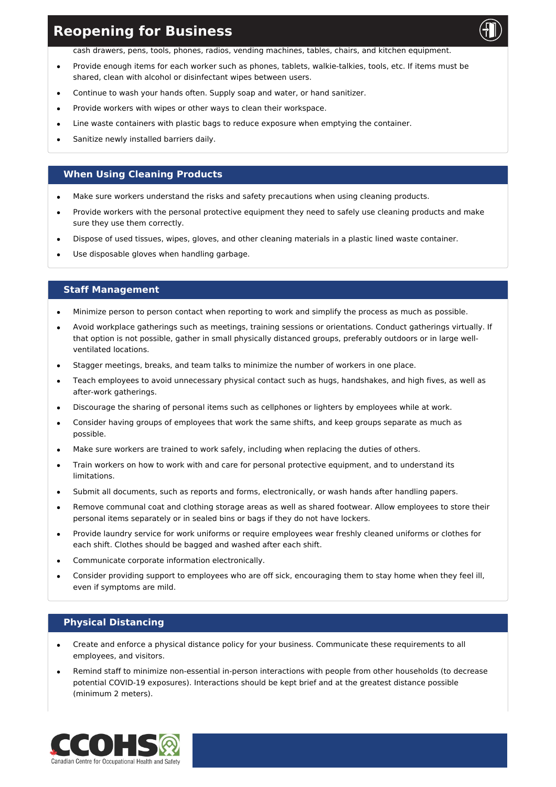cash drawers, pens, tools, phones, radios, vending machines, tables, chairs, and kitchen equipment.

- Provide enough items for each worker such as phones, tablets, walkie-talkies, tools, etc. If items must be shared, clean with alcohol or disinfectant wipes between users.
- Continue to wash your hands often. Supply soap and water, or hand sanitizer.
- Provide workers with wipes or other ways to clean their workspace.
- Line waste containers with plastic bags to reduce exposure when emptying the container.
- Sanitize newly installed barriers daily.

### **When Using Cleaning Products**

- Make sure workers understand the risks and safety precautions when using cleaning products.
- Provide workers with the personal protective equipment they need to safely use cleaning products and make sure they use them correctly.
- Dispose of used tissues, wipes, gloves, and other cleaning materials in a plastic lined waste container.
- Use disposable gloves when handling garbage.

# **Staff Management**

- Minimize person to person contact when reporting to work and simplify the process as much as possible.
- Avoid workplace gatherings such as meetings, training sessions or orientations. Conduct gatherings virtually. If that option is not possible, gather in small physically distanced groups, preferably outdoors or in large wellventilated locations.
- Stagger meetings, breaks, and team talks to minimize the number of workers in one place.
- Teach employees to avoid unnecessary physical contact such as hugs, handshakes, and high fives, as well as after-work gatherings.
- Discourage the sharing of personal items such as cellphones or lighters by employees while at work.
- Consider having groups of employees that work the same shifts, and keep groups separate as much as possible.
- Make sure workers are trained to work safely, including when replacing the duties of others.
- Train workers on how to work with and care for personal protective equipment, and to understand its limitations.
- Submit all documents, such as reports and forms, electronically, or wash hands after handling papers.
- Remove communal coat and clothing storage areas as well as shared footwear. Allow employees to store their personal items separately or in sealed bins or bags if they do not have lockers.
- Provide laundry service for work uniforms or require employees wear freshly cleaned uniforms or clothes for  $\bullet$ each shift. Clothes should be bagged and washed after each shift.
- Communicate corporate information electronically.
- Consider providing support to employees who are off sick, encouraging them to stay home when they feel ill, even if symptoms are mild.

### **Physical Distancing**

- Create and enforce a physical distance policy for your business. Communicate these requirements to all employees, and visitors.
- Remind staff to minimize non-essential in-person interactions with people from other households (to decrease potential COVID-19 exposures). Interactions should be kept brief and at the greatest distance possible (minimum 2 meters).

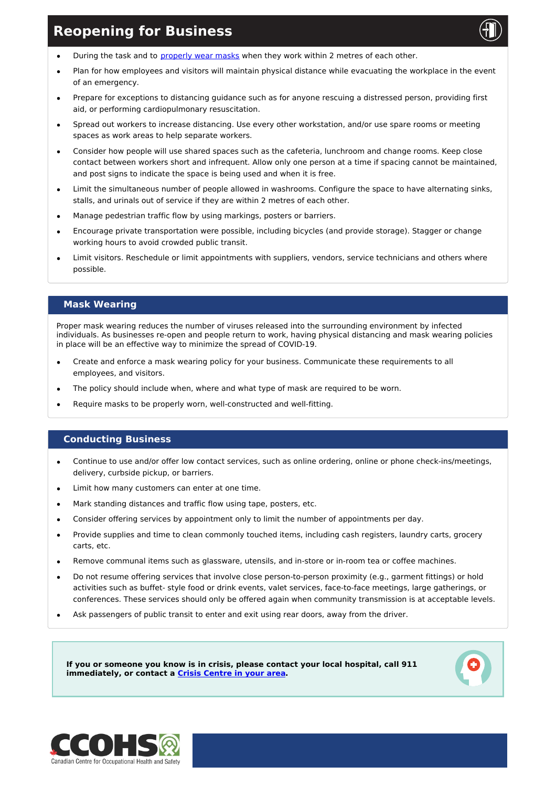

- During the task and to [properly](https://www.canada.ca/en/public-health/services/publications/diseases-conditions/covid-19-safely-use-non-medical-mask-face-covering.html) wear masks when they work within 2 metres of each other.  $\bullet$
- Plan for how employees and visitors will maintain physical distance while evacuating the workplace in the event of an emergency.
- Prepare for exceptions to distancing guidance such as for anyone rescuing a distressed person, providing first aid, or performing cardiopulmonary resuscitation.
- Spread out workers to increase distancing. Use every other workstation, and/or use spare rooms or meeting spaces as work areas to help separate workers.
- Consider how people will use shared spaces such as the cafeteria, lunchroom and change rooms. Keep close  $\bullet$ contact between workers short and infrequent. Allow only one person at a time if spacing cannot be maintained, and post signs to indicate the space is being used and when it is free.
- Limit the simultaneous number of people allowed in washrooms. Configure the space to have alternating sinks, stalls, and urinals out of service if they are within 2 metres of each other.
- Manage pedestrian traffic flow by using markings, posters or barriers.
- Encourage private transportation were possible, including bicycles (and provide storage). Stagger or change working hours to avoid crowded public transit.
- Limit visitors. Reschedule or limit appointments with suppliers, vendors, service technicians and others where possible.

## **Mask Wearing**

Proper mask wearing reduces the number of viruses released into the surrounding environment by infected individuals. As businesses re-open and people return to work, having physical distancing and mask wearing policies in place will be an effective way to minimize the spread of COVID-19.

- Create and enforce a mask wearing policy for your business. Communicate these requirements to all employees, and visitors.
- The policy should include when, where and what type of mask are required to be worn.
- Require masks to be properly worn, well-constructed and well-fitting.

### **Conducting Business**

- Continue to use and/or offer low contact services, such as online ordering, online or phone check-ins/meetings, delivery, curbside pickup, or barriers.
- Limit how many customers can enter at one time.
- Mark standing distances and traffic flow using tape, posters, etc.
- Consider offering services by appointment only to limit the number of appointments per day.
- Provide supplies and time to clean commonly touched items, including cash registers, laundry carts, grocery carts, etc.
- Remove communal items such as glassware, utensils, and in-store or in-room tea or coffee machines.
- Do not resume offering services that involve close person-to-person proximity (e.g., garment fittings) or hold activities such as buffet- style food or drink events, valet services, face-to-face meetings, large gatherings, or conferences. These services should only be offered again when community transmission is at acceptable levels.
- Ask passengers of public transit to enter and exit using rear doors, away from the driver.

**If you or someone you know is in crisis, please contact your local hospital, call 911 immediately, or contact a Crisis [Centre](https://www.canada.ca/en/public-health/services/mental-health-services/mental-health-get-help.html) in your area.**